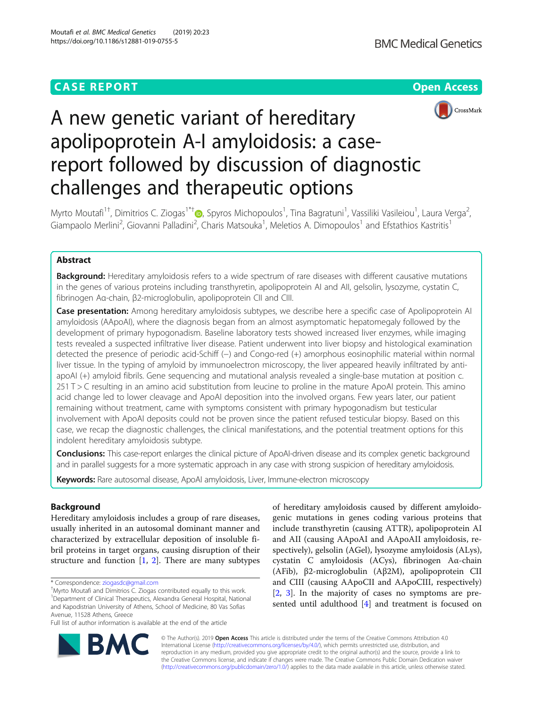## **CASE REPORT CASE REPORT CASE REPORT**





# A new genetic variant of hereditary apolipoprotein A-I amyloidosis: a casereport followed by discussion of diagnostic challenges and therapeutic options

Myrto Moutafi<sup>1†</sup>, Dimitrios C. Ziogas<sup>1\*†</sup>®, Spyros Michopoulos<sup>1</sup>, Tina Bagratuni<sup>1</sup>, Vassiliki Vasileiou<sup>1</sup>, Laura Verga<sup>2</sup> , Giampaolo Merlini<sup>2</sup>, Giovanni Palladini<sup>2</sup>, Charis Matsouka<sup>1</sup>, Meletios A. Dimopoulos<sup>1</sup> and Efstathios Kastritis<sup>1</sup>

## Abstract

**Background:** Hereditary amyloidosis refers to a wide spectrum of rare diseases with different causative mutations in the genes of various proteins including transthyretin, apolipoprotein AI and AII, gelsolin, lysozyme, cystatin C, fibrinogen Aα-chain, β2-microglobulin, apolipoprotein CII and CIII.

**Case presentation:** Among hereditary amyloidosis subtypes, we describe here a specific case of Apolipoprotein AI amyloidosis (AApoAI), where the diagnosis began from an almost asymptomatic hepatomegaly followed by the development of primary hypogonadism. Baseline laboratory tests showed increased liver enzymes, while imaging tests revealed a suspected infiltrative liver disease. Patient underwent into liver biopsy and histological examination detected the presence of periodic acid-Schiff (−) and Congo-red (+) amorphous eosinophilic material within normal liver tissue. In the typing of amyloid by immunoelectron microscopy, the liver appeared heavily infiltrated by antiapoAI (+) amyloid fibrils. Gene sequencing and mutational analysis revealed a single-base mutation at position c. 251 T > C resulting in an amino acid substitution from leucine to proline in the mature ApoAI protein. This amino acid change led to lower cleavage and ApoAI deposition into the involved organs. Few years later, our patient remaining without treatment, came with symptoms consistent with primary hypogonadism but testicular involvement with ApoAI deposits could not be proven since the patient refused testicular biopsy. Based on this case, we recap the diagnostic challenges, the clinical manifestations, and the potential treatment options for this indolent hereditary amyloidosis subtype.

Conclusions: This case-report enlarges the clinical picture of ApoAI-driven disease and its complex genetic background and in parallel suggests for a more systematic approach in any case with strong suspicion of hereditary amyloidosis.

Keywords: Rare autosomal disease, ApoAI amyloidosis, Liver, Immune-electron microscopy

### Background

Hereditary amyloidosis includes a group of rare diseases, usually inherited in an autosomal dominant manner and characterized by extracellular deposition of insoluble fibril proteins in target organs, causing disruption of their structure and function [\[1](#page-3-0), [2\]](#page-3-0). There are many subtypes

Full list of author information is available at the end of the article

of hereditary amyloidosis caused by different amyloidogenic mutations in genes coding various proteins that include transthyretin (causing ATTR), apolipoprotein AI and AII (causing AApoAI and AApoAII amyloidosis, respectively), gelsolin (AGel), lysozyme amyloidosis (ALys), cystatin C amyloidosis (ACys), fibrinogen Aα-chain (AFib), β2-microglobulin (Aβ2M), apolipoprotein CII and CIII (causing AApoCII and AApoCIII, respectively) [[2,](#page-3-0) [3\]](#page-3-0). In the majority of cases no symptoms are presented until adulthood [[4\]](#page-3-0) and treatment is focused on



© The Author(s). 2019 Open Access This article is distributed under the terms of the Creative Commons Attribution 4.0 International License [\(http://creativecommons.org/licenses/by/4.0/](http://creativecommons.org/licenses/by/4.0/)), which permits unrestricted use, distribution, and reproduction in any medium, provided you give appropriate credit to the original author(s) and the source, provide a link to the Creative Commons license, and indicate if changes were made. The Creative Commons Public Domain Dedication waiver [\(http://creativecommons.org/publicdomain/zero/1.0/](http://creativecommons.org/publicdomain/zero/1.0/)) applies to the data made available in this article, unless otherwise stated.

<sup>\*</sup> Correspondence: [ziogasdc@gmail.com](mailto:ziogasdc@gmail.com) †

Myrto Moutafi and Dimitrios C. Ziogas contributed equally to this work. <sup>1</sup>Department of Clinical Therapeutics, Alexandra General Hospital, National and Kapodistrian University of Athens, School of Medicine, 80 Vas Sofias Avenue, 11528 Athens, Greece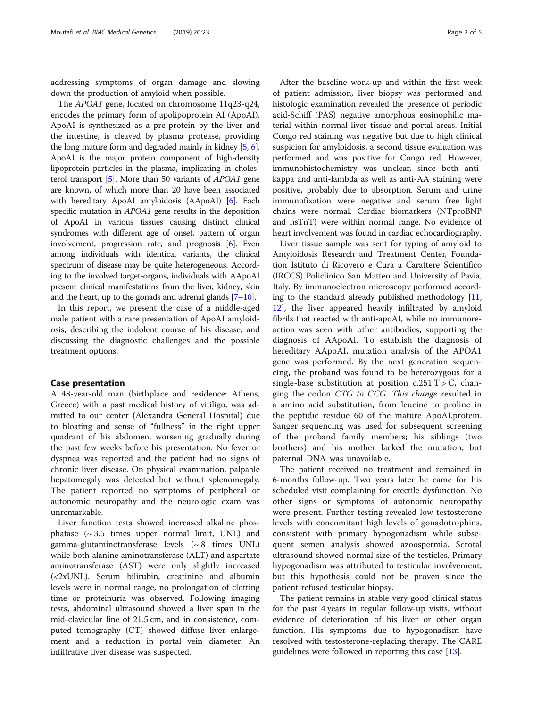addressing symptoms of organ damage and slowing down the production of amyloid when possible.

The APOA1 gene, located on chromosome 11q23-q24, encodes the primary form of apolipoprotein AI (ApoAI). ApoAI is synthesized as a pre-protein by the liver and the intestine, is cleaved by plasma protease, providing the long mature form and degraded mainly in kidney [\[5,](#page-3-0) [6](#page-3-0)]. ApoAI is the major protein component of high-density lipoprotein particles in the plasma, implicating in cholesterol transport [[5\]](#page-3-0). More than 50 variants of APOA1 gene are known, of which more than 20 have been associated with hereditary ApoAI amyloidosis (AApoAI) [\[6\]](#page-3-0). Each specific mutation in *APOA1* gene results in the deposition of ApoAI in various tissues causing distinct clinical syndromes with different age of onset, pattern of organ involvement, progression rate, and prognosis [[6](#page-3-0)]. Even among individuals with identical variants, the clinical spectrum of disease may be quite heterogeneous. According to the involved target-organs, individuals with AApoAI present clinical manifestations from the liver, kidney, skin and the heart, up to the gonads and adrenal glands  $[7-10]$  $[7-10]$  $[7-10]$  $[7-10]$ .

In this report, we present the case of a middle-aged male patient with a rare presentation of ApoAI amyloidosis, describing the indolent course of his disease, and discussing the diagnostic challenges and the possible treatment options.

#### Case presentation

A 48-year-old man (birthplace and residence: Athens, Greece) with a past medical history of vitiligo, was admitted to our center (Alexandra General Hospital) due to bloating and sense of "fullness" in the right upper quadrant of his abdomen, worsening gradually during the past few weeks before his presentation. No fever or dyspnea was reported and the patient had no signs of chronic liver disease. On physical examination, palpable hepatomegaly was detected but without splenomegaly. The patient reported no symptoms of peripheral or autonomic neuropathy and the neurologic exam was unremarkable.

Liver function tests showed increased alkaline phosphatase  $({\sim}3.5$  times upper normal limit, UNL) and gamma-glutaminotransferase levels (~ 8 times UNL) while both alanine aminotransferase (ALT) and aspartate aminotransferase (AST) were only slightly increased (<2xUNL). Serum bilirubin, creatinine and albumin levels were in normal range, no prolongation of clotting time or proteinuria was observed. Following imaging tests, abdominal ultrasound showed a liver span in the mid-clavicular line of 21.5 cm, and in consistence, computed tomography (CT) showed diffuse liver enlargement and a reduction in portal vein diameter. An infiltrative liver disease was suspected.

After the baseline work-up and within the first week of patient admission, liver biopsy was performed and histologic examination revealed the presence of periodic acid-Schiff (PAS) negative amorphous eosinophilic material within normal liver tissue and portal areas. Initial Congo red staining was negative but due to high clinical suspicion for amyloidosis, a second tissue evaluation was performed and was positive for Congo red. However, immunohistochemistry was unclear, since both antikappa and anti-lambda as well as anti-AA staining were positive, probably due to absorption. Serum and urine immunofixation were negative and serum free light chains were normal. Cardiac biomarkers (NTproBNP and hsTnT) were within normal range. No evidence of heart involvement was found in cardiac echocardiography.

Liver tissue sample was sent for typing of amyloid to Amyloidosis Research and Treatment Center, Foundation Istituto di Ricovero e Cura a Carattere Scientifico (IRCCS) Policlinico San Matteo and University of Pavia, Italy. By immunoelectron microscopy performed according to the standard already published methodology [[11](#page-4-0), [12\]](#page-4-0), the liver appeared heavily infiltrated by amyloid fibrils that reacted with anti-apoAI, while no immunoreaction was seen with other antibodies, supporting the diagnosis of AApoAI. To establish the diagnosis of hereditary AApoAI, mutation analysis of the APOA1 gene was performed. By the next generation sequencing, the proband was found to be heterozygous for a single-base substitution at position  $c.251$  T  $>$  C, changing the codon CTG to CCG. This change resulted in a amino acid substitution, from leucine to proline in the peptidic residue 60 of the mature ApoAI.protein. Sanger sequencing was used for subsequent screening of the proband family members; his siblings (two brothers) and his mother lacked the mutation, but paternal DNA was unavailable.

The patient received no treatment and remained in 6-months follow-up. Two years later he came for his scheduled visit complaining for erectile dysfunction. No other signs or symptoms of autonomic neuropathy were present. Further testing revealed low testosterone levels with concomitant high levels of gonadotrophins, consistent with primary hypogonadism while subsequent semen analysis showed azoospermia. Scrotal ultrasound showed normal size of the testicles. Primary hypogonadism was attributed to testicular involvement, but this hypothesis could not be proven since the patient refused testicular biopsy.

The patient remains in stable very good clinical status for the past 4 years in regular follow-up visits, without evidence of deterioration of his liver or other organ function. His symptoms due to hypogonadism have resolved with testosterone-replacing therapy. The CARE guidelines were followed in reporting this case [\[13](#page-4-0)].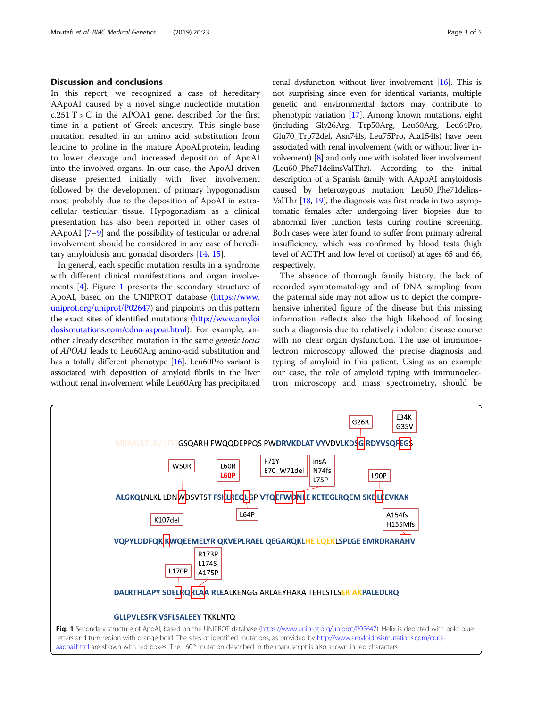#### Discussion and conclusions

In this report, we recognized a case of hereditary AApoAI caused by a novel single nucleotide mutation  $c.251$  T  $>$  C in the APOA1 gene, described for the first time in a patient of Greek ancestry. This single-base mutation resulted in an amino acid substitution from leucine to proline in the mature ApoAI.protein, leading to lower cleavage and increased deposition of ApoAI into the involved organs. In our case, the ApoAI-driven disease presented initially with liver involvement followed by the development of primary hypogonadism most probably due to the deposition of ApoAI in extracellular testicular tissue. Hypogonadism as a clinical presentation has also been reported in other cases of AApoAI [\[7](#page-3-0)–[9](#page-3-0)] and the possibility of testicular or adrenal involvement should be considered in any case of hereditary amyloidosis and gonadal disorders [\[14,](#page-4-0) [15\]](#page-4-0).

In general, each specific mutation results in a syndrome with different clinical manifestations and organ involvements  $[4]$ . Figure 1 presents the secondary structure of ApoAI, based on the UNIPROT database ([https://www.](https://www.uniprot.org/uniprot/P02647) [uniprot.org/uniprot/P02647](https://www.uniprot.org/uniprot/P02647)) and pinpoints on this pattern the exact sites of identified mutations ([http://www.amyloi](http://www.amyloidosismutations.com/cdna-aapoai.html) [dosismutations.com/cdna-aapoai.html\)](http://www.amyloidosismutations.com/cdna-aapoai.html). For example, another already described mutation in the same genetic locus of APOA1 leads to Leu60Arg amino-acid substitution and has a totally different phenotype [\[16](#page-4-0)]. Leu60Pro variant is associated with deposition of amyloid fibrils in the liver without renal involvement while Leu60Arg has precipitated

renal dysfunction without liver involvement [\[16\]](#page-4-0). This is not surprising since even for identical variants, multiple genetic and environmental factors may contribute to phenotypic variation [[17](#page-4-0)]. Among known mutations, eight (including Gly26Arg, Trp50Arg, Leu60Arg, Leu64Pro, Glu70\_Trp72del, Asn74fs, Leu75Pro, Ala154fs) have been associated with renal involvement (with or without liver involvement) [\[8\]](#page-3-0) and only one with isolated liver involvement (Leu60\_Phe71delinsValThr). According to the initial description of a Spanish family with AApoAI amyloidosis caused by heterozygous mutation Leu60\_Phe71delins-ValThr [\[18](#page-4-0), [19](#page-4-0)], the diagnosis was first made in two asymptomatic females after undergoing liver biopsies due to abnormal liver function tests during routine screening. Both cases were later found to suffer from primary adrenal insufficiency, which was confirmed by blood tests (high level of ACTH and low level of cortisol) at ages 65 and 66, respectively.

The absence of thorough family history, the lack of recorded symptomatology and of DNA sampling from the paternal side may not allow us to depict the comprehensive inherited figure of the disease but this missing information reflects also the high likehood of loosing such a diagnosis due to relatively indolent disease course with no clear organ dysfunction. The use of immunoelectron microscopy allowed the precise diagnosis and typing of amyloid in this patient. Using as an example our case, the role of amyloid typing with immunoelectron microscopy and mass spectrometry, should be

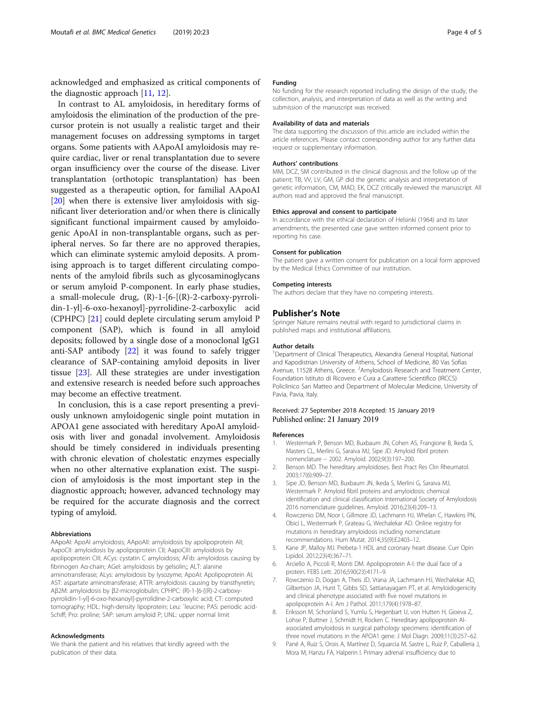<span id="page-3-0"></span>acknowledged and emphasized as critical components of the diagnostic approach [[11](#page-4-0), [12](#page-4-0)].

In contrast to AL amyloidosis, in hereditary forms of amyloidosis the elimination of the production of the precursor protein is not usually a realistic target and their management focuses on addressing symptoms in target organs. Some patients with AApoAI amyloidosis may require cardiac, liver or renal transplantation due to severe organ insufficiency over the course of the disease. Liver transplantation (orthotopic transplantation) has been suggested as a therapeutic option, for familial AApoAI [[20\]](#page-4-0) when there is extensive liver amyloidosis with significant liver deterioration and/or when there is clinically significant functional impairment caused by amyloidogenic ApoAI in non-transplantable organs, such as peripheral nerves. So far there are no approved therapies, which can eliminate systemic amyloid deposits. A promising approach is to target different circulating components of the amyloid fibrils such as glycosaminoglycans or serum amyloid P-component. In early phase studies, a small-molecule drug,  $(R)$ -1-[6-[ $(R)$ -2-carboxy-pyrrolidin-1-yl]-6-oxo-hexanoyl]-pyrrolidine-2-carboxylic acid (CPHPC) [\[21](#page-4-0)] could deplete circulating serum amyloid P component (SAP), which is found in all amyloid deposits; followed by a single dose of a monoclonal IgG1 anti-SAP antibody [\[22](#page-4-0)] it was found to safely trigger clearance of SAP-containing amyloid deposits in liver tissue [[23](#page-4-0)]. All these strategies are under investigation and extensive research is needed before such approaches may become an effective treatment.

In conclusion, this is a case report presenting a previously unknown amyloidogenic single point mutation in APOA1 gene associated with hereditary ApoAI amyloidosis with liver and gonadal involvement. Amyloidosis should be timely considered in individuals presenting with chronic elevation of cholestatic enzymes especially when no other alternative explanation exist. The suspicion of amyloidosis is the most important step in the diagnostic approach; however, advanced technology may be required for the accurate diagnosis and the correct typing of amyloid.

#### Abbreviations

AApoAI: ApoAI amyloidosis; AApoAII: amyloidosis by apolipoprotein AII; AapoCII: amyloidosis by apolipoprotein CII; AapoCIII: amyloidosis by apolipoprotein CIII; ACys: cystatin C amyloidosis; AFib: amyloidosis causing by fibrinogen Aα-chain; AGel: amyloidosis by gelsolin;; ALT: alanine aminotransferase; ALys: amyloidosis by lysozyme; ApoAI: Apolipoprotein AI; AST: aspartate aminotransferase; ATTR: amyloidosis causing by transthyretin; Aβ2M: amyloidosis by β2-microglobulin; CPHPC: (R)-1-[6-[(R)-2-carboxypyrrolidin-1-yl]-6-oxo-hexanoyl]-pyrrolidine-2-carboxylic acid; CT: computed tomography; HDL: high-density lipoprotein; Leu: `leucine; PAS: periodic acid-Schiff; Pro: proline; SAP: serum amyloid P; UNL: upper normal limit

#### Acknowledgments

We thank the patient and his relatives that kindly agreed with the publication of their data.

#### Funding

No funding for the research reported including the design of the study, the collection, analysis, and interpretation of data as well as the writing and submission of the manuscript was received.

#### Availability of data and materials

The data supporting the discussion of this article are included within the article references. Please contact corresponding author for any further data request or supplementary information.

#### Authors' contributions

MM, DCZ, SM contributed in the clinical diagnosis and the follow up of the patient; TB, VV, LV, GM, GP did the genetic analysis and interpretation of genetic information, CM, MAD, EK, DCZ critically reviewed the manuscript. All authors read and approved the final manuscript.

#### Ethics approval and consent to participate

In accordance with the ethical declaration of Helsinki (1964) and its later amendments, the presented case gave written informed consent prior to reporting his case.

#### Consent for publication

The patient gave a written consent for publication on a local form approved by the Medical Ethics Committee of our institution.

#### Competing interests

The authors declare that they have no competing interests.

#### Publisher's Note

Springer Nature remains neutral with regard to jurisdictional claims in published maps and institutional affiliations.

#### Author details

<sup>1</sup>Department of Clinical Therapeutics, Alexandra General Hospital, National and Kapodistrian University of Athens, School of Medicine, 80 Vas Sofias Avenue, 11528 Athens, Greece. <sup>2</sup>Amyloidosis Research and Treatment Center, Foundation Istituto di Ricovero e Cura a Carattere Scientifico (IRCCS) Policlinico San Matteo and Department of Molecular Medicine, University of Pavia, Pavia, Italy.

#### Received: 27 September 2018 Accepted: 15 January 2019 Published online: 21 January 2019

#### References

- 1. Westermark P, Benson MD, Buxbaum JN, Cohen AS, Frangione B, Ikeda S, Masters CL, Merlini G, Saraiva MJ, Sipe JD. Amyloid fibril protein nomenclature -- 2002. Amyloid. 2002;9(3):197–200.
- 2. Benson MD. The hereditary amyloidoses. Best Pract Res Clin Rheumatol. 2003;17(6):909–27.
- 3. Sipe JD, Benson MD, Buxbaum JN, Ikeda S, Merlini G, Saraiva MJ, Westermark P. Amyloid fibril proteins and amyloidosis: chemical identification and clinical classification International Society of Amyloidosis 2016 nomenclature guidelines. Amyloid. 2016;23(4):209–13.
- 4. Rowczenio DM, Noor I, Gillmore JD, Lachmann HJ, Whelan C, Hawkins PN, Obici L, Westermark P, Grateau G, Wechalekar AD. Online registry for mutations in hereditary amyloidosis including nomenclature recommendations. Hum Mutat. 2014;35(9):E2403–12.
- 5. Kane JP, Malloy MJ. Prebeta-1 HDL and coronary heart disease. Curr Opin Lipidol. 2012;23(4):367–71.
- 6. Arciello A, Piccoli R, Monti DM. Apolipoprotein A-I: the dual face of a protein. FEBS Lett. 2016;590(23):4171–9.
- Rowczenio D, Dogan A, Theis JD, Vrana JA, Lachmann HJ, Wechalekar AD, Gilbertson JA, Hunt T, Gibbs SD, Sattianayagam PT, et al. Amyloidogenicity and clinical phenotype associated with five novel mutations in apolipoprotein A-I. Am J Pathol. 2011;179(4):1978–87.
- 8. Eriksson M, Schonland S, Yumlu S, Hegenbart U, von Hutten H, Gioeva Z, Lohse P, Buttner J, Schmidt H, Rocken C. Hereditary apolipoprotein AIassociated amyloidosis in surgical pathology specimens: identification of three novel mutations in the APOA1 gene. J Mol Diagn. 2009;11(3):257–62.
- 9. Pané A, Ruiz S, Orois A, Martínez D, Squarcia M, Sastre L, Ruiz P, Caballeria J, Mora M, Hanzu FA, Halperin I. Primary adrenal insufficiency due to